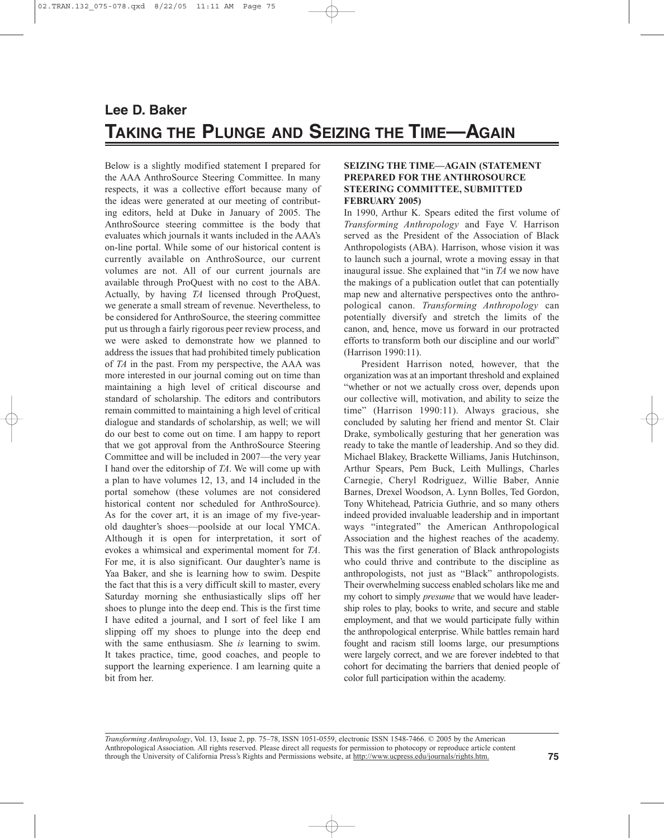# **Lee D. Baker TAKING THE PLUNGE AND SEIZING THE TIME—AGAIN**

Below is a slightly modified statement I prepared for the AAA AnthroSource Steering Committee. In many respects, it was a collective effort because many of the ideas were generated at our meeting of contributing editors, held at Duke in January of 2005. The AnthroSource steering committee is the body that evaluates which journals it wants included in the AAA's on-line portal. While some of our historical content is currently available on AnthroSource, our current volumes are not. All of our current journals are available through ProQuest with no cost to the ABA. Actually, by having *TA* licensed through ProQuest, we generate a small stream of revenue. Nevertheless, to be considered for AnthroSource, the steering committee put us through a fairly rigorous peer review process, and we were asked to demonstrate how we planned to address the issues that had prohibited timely publication of *TA* in the past. From my perspective, the AAA was more interested in our journal coming out on time than maintaining a high level of critical discourse and standard of scholarship. The editors and contributors remain committed to maintaining a high level of critical dialogue and standards of scholarship, as well; we will do our best to come out on time. I am happy to report that we got approval from the AnthroSource Steering Committee and will be included in 2007—the very year I hand over the editorship of *TA*. We will come up with a plan to have volumes 12, 13, and 14 included in the portal somehow (these volumes are not considered historical content nor scheduled for AnthroSource). As for the cover art, it is an image of my five-yearold daughter's shoes—poolside at our local YMCA. Although it is open for interpretation, it sort of evokes a whimsical and experimental moment for *TA*. For me, it is also significant. Our daughter's name is Yaa Baker, and she is learning how to swim. Despite the fact that this is a very difficult skill to master, every Saturday morning she enthusiastically slips off her shoes to plunge into the deep end. This is the first time I have edited a journal, and I sort of feel like I am slipping off my shoes to plunge into the deep end with the same enthusiasm. She *is* learning to swim. It takes practice, time, good coaches, and people to support the learning experience. I am learning quite a bit from her.

## **SEIZING THE TIME—AGAIN (STATEMENT PREPARED FOR THE ANTHROSOURCE STEERING COMMITTEE, SUBMITTED FEBRUARY 2005)**

In 1990, Arthur K. Spears edited the first volume of *Transforming Anthropology* and Faye V. Harrison served as the President of the Association of Black Anthropologists (ABA). Harrison, whose vision it was to launch such a journal, wrote a moving essay in that inaugural issue. She explained that "in *TA* we now have the makings of a publication outlet that can potentially map new and alternative perspectives onto the anthropological canon. *Transforming Anthropology* can potentially diversify and stretch the limits of the canon, and, hence, move us forward in our protracted efforts to transform both our discipline and our world" (Harrison 1990:11).

President Harrison noted, however, that the organization was at an important threshold and explained "whether or not we actually cross over, depends upon our collective will, motivation, and ability to seize the time" (Harrison 1990:11). Always gracious, she concluded by saluting her friend and mentor St. Clair Drake, symbolically gesturing that her generation was ready to take the mantle of leadership. And so they did. Michael Blakey, Brackette Williams, Janis Hutchinson, Arthur Spears, Pem Buck, Leith Mullings, Charles Carnegie, Cheryl Rodriguez, Willie Baber, Annie Barnes, Drexel Woodson, A. Lynn Bolles, Ted Gordon, Tony Whitehead, Patricia Guthrie, and so many others indeed provided invaluable leadership and in important ways "integrated" the American Anthropological Association and the highest reaches of the academy. This was the first generation of Black anthropologists who could thrive and contribute to the discipline as anthropologists, not just as "Black" anthropologists. Their overwhelming success enabled scholars like me and my cohort to simply *presume* that we would have leadership roles to play, books to write, and secure and stable employment, and that we would participate fully within the anthropological enterprise. While battles remain hard fought and racism still looms large, our presumptions were largely correct, and we are forever indebted to that cohort for decimating the barriers that denied people of color full participation within the academy.

*Transforming Anthropology*, Vol. 13, Issue 2, pp. 75–78, ISSN 1051-0559, electronic ISSN 1548-7466. © 2005 by the American Anthropological Association. All rights reserved. Please direct all requests for permission to photocopy or reproduce article content through the University of California Press's Rights and Permissions website, at http://www.ucpress.edu/journals/rights.htm.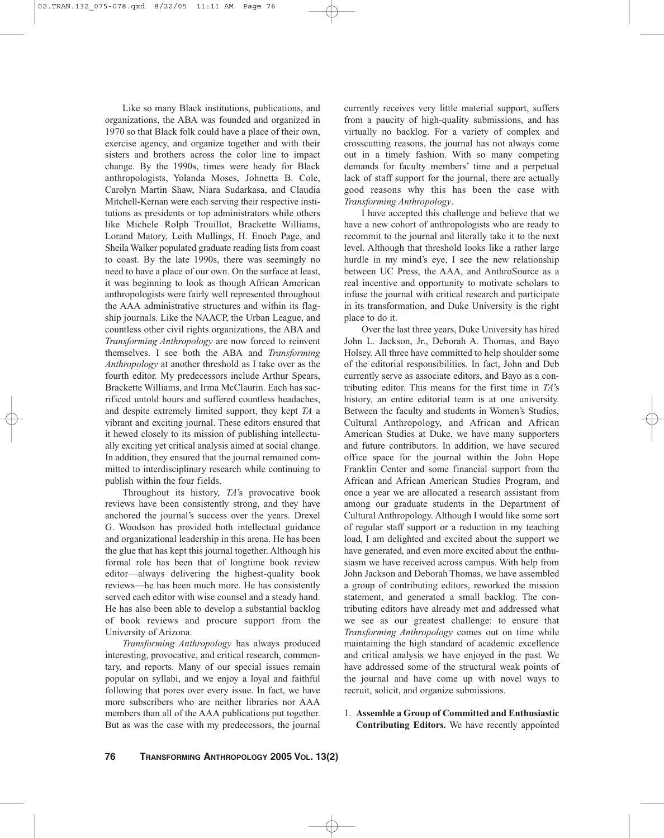Like so many Black institutions, publications, and organizations, the ABA was founded and organized in 1970 so that Black folk could have a place of their own, exercise agency, and organize together and with their sisters and brothers across the color line to impact change. By the 1990s, times were heady for Black anthropologists, Yolanda Moses, Johnetta B. Cole, Carolyn Martin Shaw, Niara Sudarkasa, and Claudia Mitchell-Kernan were each serving their respective institutions as presidents or top administrators while others like Michele Rolph Trouillot, Brackette Williams, Lorand Matory, Leith Mullings, H. Enoch Page, and Sheila Walker populated graduate reading lists from coast to coast. By the late 1990s, there was seemingly no need to have a place of our own. On the surface at least, it was beginning to look as though African American anthropologists were fairly well represented throughout the AAA administrative structures and within its flagship journals. Like the NAACP, the Urban League, and countless other civil rights organizations, the ABA and *Transforming Anthropology* are now forced to reinvent themselves. I see both the ABA and *Transforming Anthropology* at another threshold as I take over as the fourth editor. My predecessors include Arthur Spears, Brackette Williams, and Irma McClaurin. Each has sacrificed untold hours and suffered countless headaches, and despite extremely limited support, they kept *TA* a vibrant and exciting journal. These editors ensured that it hewed closely to its mission of publishing intellectually exciting yet critical analysis aimed at social change. In addition, they ensured that the journal remained committed to interdisciplinary research while continuing to publish within the four fields.

Throughout its history, *TA*'s provocative book reviews have been consistently strong, and they have anchored the journal's success over the years. Drexel G. Woodson has provided both intellectual guidance and organizational leadership in this arena. He has been the glue that has kept this journal together. Although his formal role has been that of longtime book review editor—always delivering the highest-quality book reviews—he has been much more. He has consistently served each editor with wise counsel and a steady hand. He has also been able to develop a substantial backlog of book reviews and procure support from the University of Arizona.

*Transforming Anthropology* has always produced interesting, provocative, and critical research, commentary, and reports. Many of our special issues remain popular on syllabi, and we enjoy a loyal and faithful following that pores over every issue. In fact, we have more subscribers who are neither libraries nor AAA members than all of the AAA publications put together. But as was the case with my predecessors, the journal

currently receives very little material support, suffers from a paucity of high-quality submissions, and has virtually no backlog. For a variety of complex and crosscutting reasons, the journal has not always come out in a timely fashion. With so many competing demands for faculty members' time and a perpetual lack of staff support for the journal, there are actually good reasons why this has been the case with *Transforming Anthropology*.

I have accepted this challenge and believe that we have a new cohort of anthropologists who are ready to recommit to the journal and literally take it to the next level. Although that threshold looks like a rather large hurdle in my mind's eye, I see the new relationship between UC Press, the AAA, and AnthroSource as a real incentive and opportunity to motivate scholars to infuse the journal with critical research and participate in its transformation, and Duke University is the right place to do it.

Over the last three years, Duke University has hired John L. Jackson, Jr., Deborah A. Thomas, and Bayo Holsey. All three have committed to help shoulder some of the editorial responsibilities. In fact, John and Deb currently serve as associate editors, and Bayo as a contributing editor. This means for the first time in *TA*'s history, an entire editorial team is at one university. Between the faculty and students in Women's Studies, Cultural Anthropology, and African and African American Studies at Duke, we have many supporters and future contributors. In addition, we have secured office space for the journal within the John Hope Franklin Center and some financial support from the African and African American Studies Program, and once a year we are allocated a research assistant from among our graduate students in the Department of Cultural Anthropology. Although I would like some sort of regular staff support or a reduction in my teaching load, I am delighted and excited about the support we have generated, and even more excited about the enthusiasm we have received across campus. With help from John Jackson and Deborah Thomas, we have assembled a group of contributing editors, reworked the mission statement, and generated a small backlog. The contributing editors have already met and addressed what we see as our greatest challenge: to ensure that *Transforming Anthropology* comes out on time while maintaining the high standard of academic excellence and critical analysis we have enjoyed in the past. We have addressed some of the structural weak points of the journal and have come up with novel ways to recruit, solicit, and organize submissions.

### 1. **Assemble a Group of Committed and Enthusiastic Contributing Editors.** We have recently appointed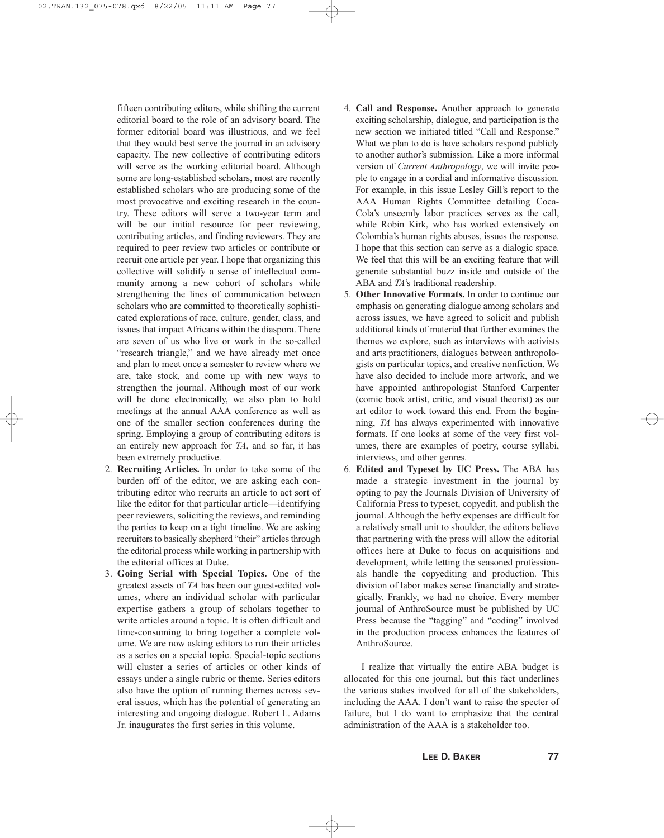fifteen contributing editors, while shifting the current editorial board to the role of an advisory board. The former editorial board was illustrious, and we feel that they would best serve the journal in an advisory capacity. The new collective of contributing editors will serve as the working editorial board. Although some are long-established scholars, most are recently established scholars who are producing some of the most provocative and exciting research in the country. These editors will serve a two-year term and will be our initial resource for peer reviewing, contributing articles, and finding reviewers. They are required to peer review two articles or contribute or recruit one article per year. I hope that organizing this collective will solidify a sense of intellectual community among a new cohort of scholars while strengthening the lines of communication between scholars who are committed to theoretically sophisticated explorations of race, culture, gender, class, and issues that impact Africans within the diaspora. There are seven of us who live or work in the so-called "research triangle," and we have already met once and plan to meet once a semester to review where we are, take stock, and come up with new ways to strengthen the journal. Although most of our work will be done electronically, we also plan to hold meetings at the annual AAA conference as well as one of the smaller section conferences during the spring. Employing a group of contributing editors is an entirely new approach for *TA*, and so far, it has been extremely productive.

- 2. **Recruiting Articles.** In order to take some of the burden off of the editor, we are asking each contributing editor who recruits an article to act sort of like the editor for that particular article—identifying peer reviewers, soliciting the reviews, and reminding the parties to keep on a tight timeline. We are asking recruiters to basically shepherd "their" articles through the editorial process while working in partnership with the editorial offices at Duke.
- 3. **Going Serial with Special Topics.** One of the greatest assets of *TA* has been our guest-edited volumes, where an individual scholar with particular expertise gathers a group of scholars together to write articles around a topic. It is often difficult and time-consuming to bring together a complete volume. We are now asking editors to run their articles as a series on a special topic. Special-topic sections will cluster a series of articles or other kinds of essays under a single rubric or theme. Series editors also have the option of running themes across several issues, which has the potential of generating an interesting and ongoing dialogue. Robert L. Adams Jr. inaugurates the first series in this volume.
- 4. **Call and Response.** Another approach to generate exciting scholarship, dialogue, and participation is the new section we initiated titled "Call and Response." What we plan to do is have scholars respond publicly to another author's submission. Like a more informal version of *Current Anthropology*, we will invite people to engage in a cordial and informative discussion. For example, in this issue Lesley Gill's report to the AAA Human Rights Committee detailing Coca-Cola's unseemly labor practices serves as the call, while Robin Kirk, who has worked extensively on Colombia's human rights abuses, issues the response. I hope that this section can serve as a dialogic space. We feel that this will be an exciting feature that will generate substantial buzz inside and outside of the ABA and *TA*'s traditional readership.
- 5. **Other Innovative Formats.** In order to continue our emphasis on generating dialogue among scholars and across issues, we have agreed to solicit and publish additional kinds of material that further examines the themes we explore, such as interviews with activists and arts practitioners, dialogues between anthropologists on particular topics, and creative nonfiction. We have also decided to include more artwork, and we have appointed anthropologist Stanford Carpenter (comic book artist, critic, and visual theorist) as our art editor to work toward this end. From the beginning, *TA* has always experimented with innovative formats. If one looks at some of the very first volumes, there are examples of poetry, course syllabi, interviews, and other genres.
- 6. **Edited and Typeset by UC Press.** The ABA has made a strategic investment in the journal by opting to pay the Journals Division of University of California Press to typeset, copyedit, and publish the journal. Although the hefty expenses are difficult for a relatively small unit to shoulder, the editors believe that partnering with the press will allow the editorial offices here at Duke to focus on acquisitions and development, while letting the seasoned professionals handle the copyediting and production. This division of labor makes sense financially and strategically. Frankly, we had no choice. Every member journal of AnthroSource must be published by UC Press because the "tagging" and "coding" involved in the production process enhances the features of AnthroSource.

I realize that virtually the entire ABA budget is allocated for this one journal, but this fact underlines the various stakes involved for all of the stakeholders, including the AAA. I don't want to raise the specter of failure, but I do want to emphasize that the central administration of the AAA is a stakeholder too.